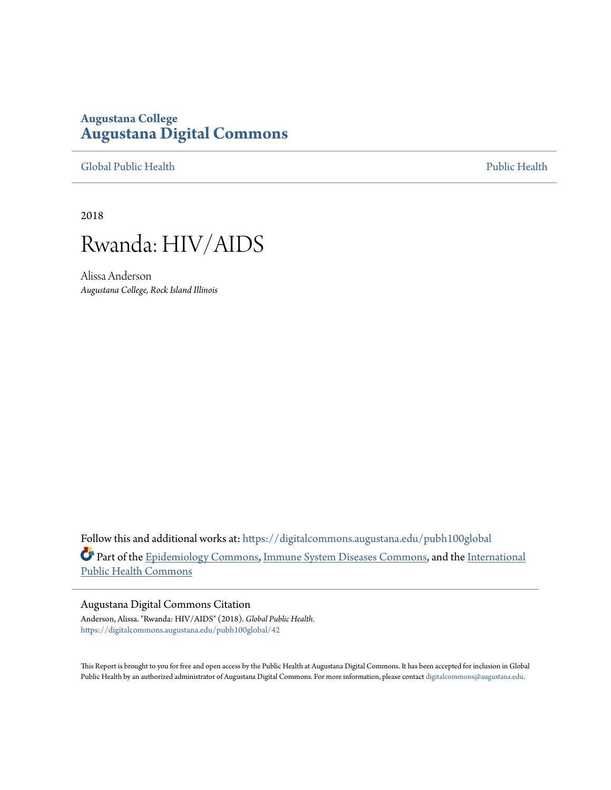# **Augustana College [Augustana Digital Commons](https://digitalcommons.augustana.edu?utm_source=digitalcommons.augustana.edu%2Fpubh100global%2F42&utm_medium=PDF&utm_campaign=PDFCoverPages)**

[Global Public Health](https://digitalcommons.augustana.edu/pubh100global?utm_source=digitalcommons.augustana.edu%2Fpubh100global%2F42&utm_medium=PDF&utm_campaign=PDFCoverPages) [Public Health](https://digitalcommons.augustana.edu/publichealth?utm_source=digitalcommons.augustana.edu%2Fpubh100global%2F42&utm_medium=PDF&utm_campaign=PDFCoverPages)

2018



Alissa Anderson *Augustana College, Rock Island Illinois*

Follow this and additional works at: [https://digitalcommons.augustana.edu/pubh100global](https://digitalcommons.augustana.edu/pubh100global?utm_source=digitalcommons.augustana.edu%2Fpubh100global%2F42&utm_medium=PDF&utm_campaign=PDFCoverPages) Part of the [Epidemiology Commons](http://network.bepress.com/hgg/discipline/740?utm_source=digitalcommons.augustana.edu%2Fpubh100global%2F42&utm_medium=PDF&utm_campaign=PDFCoverPages), [Immune System Diseases Commons,](http://network.bepress.com/hgg/discipline/933?utm_source=digitalcommons.augustana.edu%2Fpubh100global%2F42&utm_medium=PDF&utm_campaign=PDFCoverPages) and the [International](http://network.bepress.com/hgg/discipline/746?utm_source=digitalcommons.augustana.edu%2Fpubh100global%2F42&utm_medium=PDF&utm_campaign=PDFCoverPages) [Public Health Commons](http://network.bepress.com/hgg/discipline/746?utm_source=digitalcommons.augustana.edu%2Fpubh100global%2F42&utm_medium=PDF&utm_campaign=PDFCoverPages)

#### Augustana Digital Commons Citation

Anderson, Alissa. "Rwanda: HIV/AIDS" (2018). *Global Public Health.* [https://digitalcommons.augustana.edu/pubh100global/42](https://digitalcommons.augustana.edu/pubh100global/42?utm_source=digitalcommons.augustana.edu%2Fpubh100global%2F42&utm_medium=PDF&utm_campaign=PDFCoverPages)

This Report is brought to you for free and open access by the Public Health at Augustana Digital Commons. It has been accepted for inclusion in Global Public Health by an authorized administrator of Augustana Digital Commons. For more information, please contact [digitalcommons@augustana.edu.](mailto:digitalcommons@augustana.edu)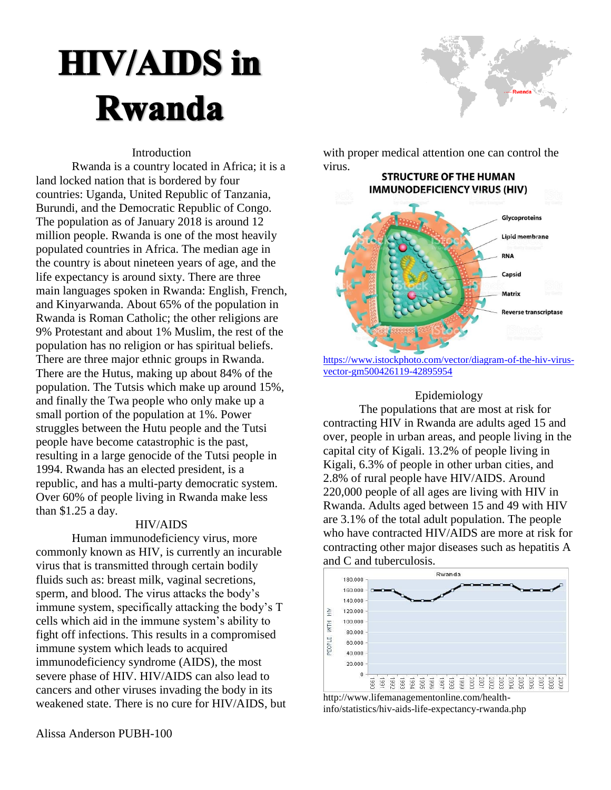# **HIV/AIDS in Rwanda**



## Introduction

Rwanda is a country located in Africa; it is a land locked nation that is bordered by four countries: Uganda, United Republic of Tanzania, Burundi, and the Democratic Republic of Congo. The population as of January 2018 is around 12 million people. Rwanda is one of the most heavily populated countries in Africa. The median age in the country is about nineteen years of age, and the life expectancy is around sixty. There are three main languages spoken in Rwanda: English, French, and Kinyarwanda. About 65% of the population in Rwanda is Roman Catholic; the other religions are 9% Protestant and about 1% Muslim, the rest of the population has no religion or has spiritual beliefs. There are three major ethnic groups in Rwanda. There are the Hutus, making up about 84% of the population. The Tutsis which make up around 15%, and finally the Twa people who only make up a small portion of the population at 1%. Power struggles between the Hutu people and the Tutsi people have become catastrophic is the past, resulting in a large genocide of the Tutsi people in 1994. Rwanda has an elected president, is a republic, and has a multi-party democratic system. Over 60% of people living in Rwanda make less than \$1.25 a day.

#### HIV/AIDS

Human immunodeficiency virus, more commonly known as HIV, is currently an incurable virus that is transmitted through certain bodily fluids such as: breast milk, vaginal secretions, sperm, and blood. The virus attacks the body's immune system, specifically attacking the body's T cells which aid in the immune system's ability to fight off infections. This results in a compromised immune system which leads to acquired immunodeficiency syndrome (AIDS), the most severe phase of HIV. HIV/AIDS can also lead to cancers and other viruses invading the body in its weakened state. There is no cure for HIV/AIDS, but with proper medical attention one can control the virus.



[https://www.istockphoto.com/vector/diagram-of-the-hiv-virus](https://www.istockphoto.com/vector/diagram-of-the-hiv-virus-vector-gm500426119-42895954)[vector-gm500426119-42895954](https://www.istockphoto.com/vector/diagram-of-the-hiv-virus-vector-gm500426119-42895954)

# Epidemiology

The populations that are most at risk for contracting HIV in Rwanda are adults aged 15 and over, people in urban areas, and people living in the capital city of Kigali. 13.2% of people living in Kigali, 6.3% of people in other urban cities, and 2.8% of rural people have HIV/AIDS. Around 220,000 people of all ages are living with HIV in Rwanda. Adults aged between 15 and 49 with HIV are 3.1% of the total adult population. The people who have contracted HIV/AIDS are more at risk for contracting other major diseases such as hepatitis A and C and tuberculosis.



http://www.lifemanagementonline.com/healthinfo/statistics/hiv-aids-life-expectancy-rwanda.php